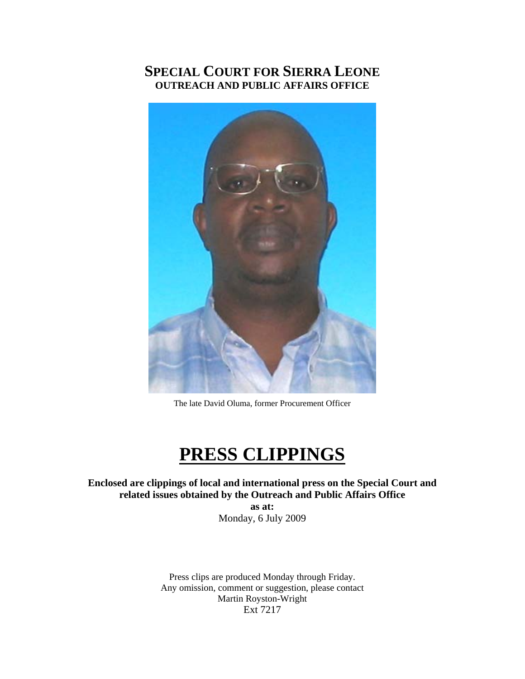# **SPECIAL COURT FOR SIERRA LEONE OUTREACH AND PUBLIC AFFAIRS OFFICE**



The late David Oluma, former Procurement Officer

# **PRESS CLIPPINGS**

**Enclosed are clippings of local and international press on the Special Court and related issues obtained by the Outreach and Public Affairs Office as at:** 

Monday, 6 July 2009

Press clips are produced Monday through Friday. Any omission, comment or suggestion, please contact Martin Royston-Wright Ext 7217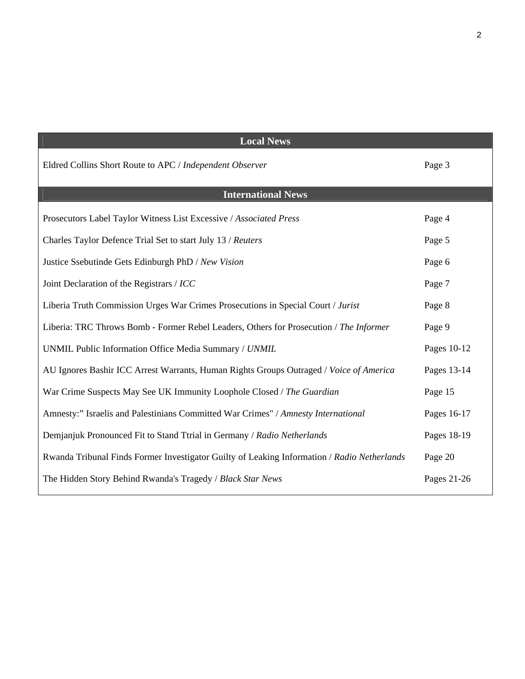| <b>Local News</b>                                                                           |             |
|---------------------------------------------------------------------------------------------|-------------|
| Eldred Collins Short Route to APC / Independent Observer                                    | Page 3      |
| <b>International News</b>                                                                   |             |
| Prosecutors Label Taylor Witness List Excessive / Associated Press                          | Page 4      |
| Charles Taylor Defence Trial Set to start July 13 / Reuters                                 | Page 5      |
| Justice Ssebutinde Gets Edinburgh PhD / New Vision                                          | Page 6      |
| Joint Declaration of the Registrars / ICC                                                   | Page 7      |
| Liberia Truth Commission Urges War Crimes Prosecutions in Special Court / Jurist            | Page 8      |
| Liberia: TRC Throws Bomb - Former Rebel Leaders, Others for Prosecution / The Informer      | Page 9      |
| UNMIL Public Information Office Media Summary / UNMIL                                       | Pages 10-12 |
| AU Ignores Bashir ICC Arrest Warrants, Human Rights Groups Outraged / Voice of America      | Pages 13-14 |
| War Crime Suspects May See UK Immunity Loophole Closed / The Guardian                       | Page 15     |
| Amnesty:" Israelis and Palestinians Committed War Crimes" / Amnesty International           | Pages 16-17 |
| Demjanjuk Pronounced Fit to Stand Ttrial in Germany / Radio Netherlands                     | Pages 18-19 |
| Rwanda Tribunal Finds Former Investigator Guilty of Leaking Information / Radio Netherlands | Page 20     |
| The Hidden Story Behind Rwanda's Tragedy / Black Star News                                  | Pages 21-26 |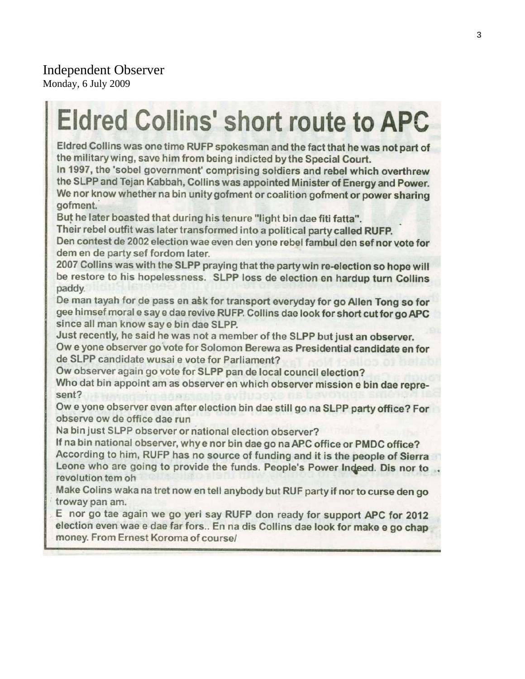# Independent Observer

Monday, 6 July 2009

# **Eldred Collins' short route to APC**

Eldred Collins was one time RUFP spokesman and the fact that he was not part of the military wing, save him from being indicted by the Special Court.

In 1997, the 'sobel government' comprising soldiers and rebel which overthrew the SLPP and Tejan Kabbah, Collins was appointed Minister of Energy and Power. We nor know whether na bin unity gofment or coalition gofment or power sharing gofment.

But he later boasted that during his tenure "light bin dae fiti fatta".

Their rebel outfit was later transformed into a political party called RUFP.

Den contest de 2002 election wae even den yone rebel fambul den sef nor vote for dem en de party sef fordom later.

2007 Collins was with the SLPP praying that the party win re-election so hope will be restore to his hopelessness. SLPP loss de election en hardup turn Collins paddy.

De man tayah for de pass en ask for transport everyday for go Allen Tong so for gee himsef moral e say e dae revive RUFP. Collins dae look for short cut for go APC since all man know say e bin dae SLPP.

Just recently, he said he was not a member of the SLPP but just an observer.

Ow e yone observer go vote for Solomon Berewa as Presidential candidate en for de SLPP candidate wusai e vote for Parliament?

Ow observer again go vote for SLPP pan de local council election?

Who dat bin appoint am as observer en which observer mission e bin dae represent?

Ow e yone observer even after election bin dae still go na SLPP party office? For observe ow de office dae run

Na bin just SLPP observer or national election observer?

If na bin national observer, why e nor bin dae go na APC office or PMDC office? According to him, RUFP has no source of funding and it is the people of Sierra Leone who are going to provide the funds. People's Power Indeed. Dis nor to ... revolution tem oh

Make Colins waka na tret now en tell anybody but RUF party if nor to curse den go troway pan am.

E nor go tae again we go yeri say RUFP don ready for support APC for 2012 election even wae e dae far fors.. En na dis Collins dae look for make e go chap money. From Ernest Koroma of course/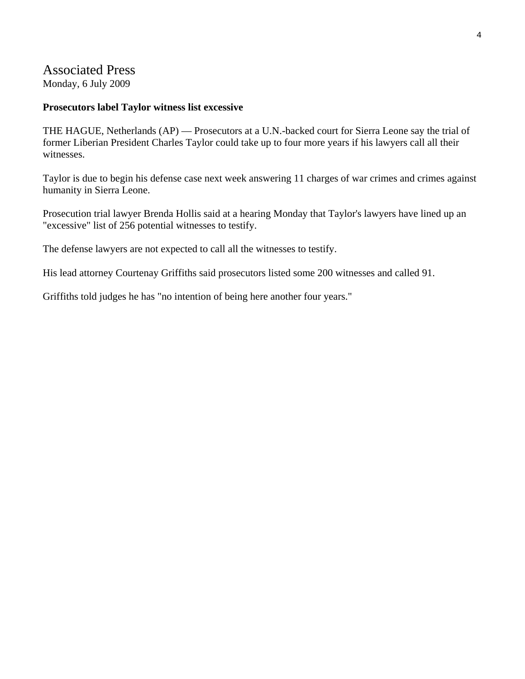# Associated Press

Monday, 6 July 2009

#### **Prosecutors label Taylor witness list excessive**

THE HAGUE, Netherlands (AP) — Prosecutors at a U.N.-backed court for Sierra Leone say the trial of former Liberian President Charles Taylor could take up to four more years if his lawyers call all their witnesses.

Taylor is due to begin his defense case next week answering 11 charges of war crimes and crimes against humanity in Sierra Leone.

Prosecution trial lawyer Brenda Hollis said at a hearing Monday that Taylor's lawyers have lined up an "excessive" list of 256 potential witnesses to testify.

The defense lawyers are not expected to call all the witnesses to testify.

His lead attorney Courtenay Griffiths said prosecutors listed some 200 witnesses and called 91.

Griffiths told judges he has "no intention of being here another four years."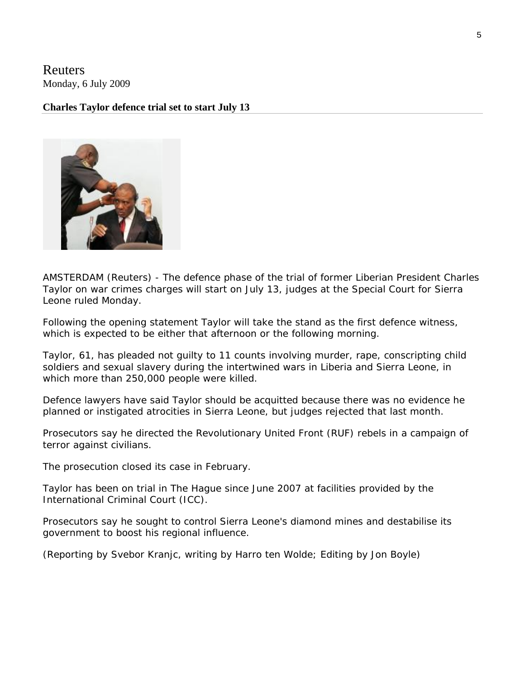Reuters Monday, 6 July 2009

#### **Charles Taylor defence trial set to start July 13**



AMSTERDAM (Reuters) - The defence phase of the trial of former Liberian President Charles Taylor on war crimes charges will start on July 13, judges at the Special Court for Sierra Leone ruled Monday.

Following the opening statement Taylor will take the stand as the first defence witness, which is expected to be either that afternoon or the following morning.

Taylor, 61, has pleaded not guilty to 11 counts involving murder, rape, conscripting child soldiers and sexual slavery during the intertwined wars in Liberia and Sierra Leone, in which more than 250,000 people were killed.

Defence lawyers have said Taylor should be acquitted because there was no evidence he planned or instigated atrocities in Sierra Leone, but judges rejected that last month.

Prosecutors say he directed the Revolutionary United Front (RUF) rebels in a campaign of terror against civilians.

The prosecution closed its case in February.

Taylor has been on trial in The Hague since June 2007 at facilities provided by the International Criminal Court (ICC).

Prosecutors say he sought to control Sierra Leone's diamond mines and destabilise its government to boost his regional influence.

(Reporting by Svebor Kranjc, writing by Harro ten Wolde; Editing by Jon Boyle)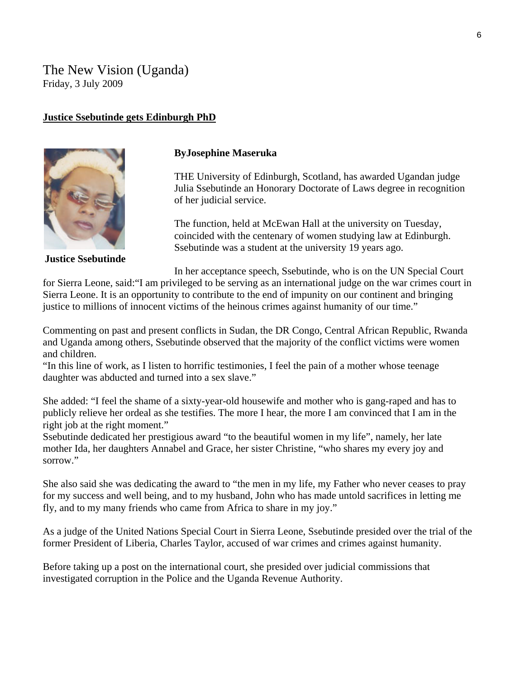# The New Vision (Uganda) Friday, 3 July 2009

#### **Justice Ssebutinde gets Edinburgh PhD**



**Justice Ssebutinde** 

# **ByJosephine Maseruka**

THE University of Edinburgh, Scotland, has awarded Ugandan judge Julia Ssebutinde an Honorary Doctorate of Laws degree in recognition of her judicial service.

The function, held at McEwan Hall at the university on Tuesday, coincided with the centenary of women studying law at Edinburgh. Ssebutinde was a student at the university 19 years ago.

In her acceptance speech, Ssebutinde, who is on the UN Special Court

for Sierra Leone, said:"I am privileged to be serving as an international judge on the war crimes court in Sierra Leone. It is an opportunity to contribute to the end of impunity on our continent and bringing justice to millions of innocent victims of the heinous crimes against humanity of our time."

Commenting on past and present conflicts in Sudan, the DR Congo, Central African Republic, Rwanda and Uganda among others, Ssebutinde observed that the majority of the conflict victims were women and children.

"In this line of work, as I listen to horrific testimonies, I feel the pain of a mother whose teenage daughter was abducted and turned into a sex slave."

She added: "I feel the shame of a sixty-year-old housewife and mother who is gang-raped and has to publicly relieve her ordeal as she testifies. The more I hear, the more I am convinced that I am in the right job at the right moment."

Ssebutinde dedicated her prestigious award "to the beautiful women in my life", namely, her late mother Ida, her daughters Annabel and Grace, her sister Christine, "who shares my every joy and sorrow."

She also said she was dedicating the award to "the men in my life, my Father who never ceases to pray for my success and well being, and to my husband, John who has made untold sacrifices in letting me fly, and to my many friends who came from Africa to share in my joy."

As a judge of the United Nations Special Court in Sierra Leone, Ssebutinde presided over the trial of the former President of Liberia, Charles Taylor, accused of war crimes and crimes against humanity.

Before taking up a post on the international court, she presided over judicial commissions that investigated corruption in the Police and the Uganda Revenue Authority.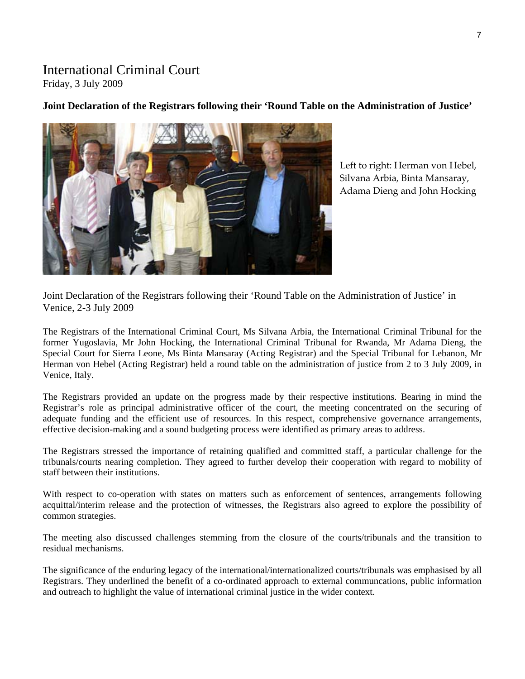# International Criminal Court

Friday, 3 July 2009

# **Joint Declaration of the Registrars following their 'Round Table on the Administration of Justice'**



Left to right: Herman von Hebel, Silvana Arbia, Binta Mansaray, Adama Dieng and John Hocking

Joint Declaration of the Registrars following their 'Round Table on the Administration of Justice' in Venice, 2-3 July 2009

The Registrars of the International Criminal Court, Ms Silvana Arbia, the International Criminal Tribunal for the former Yugoslavia, Mr John Hocking, the International Criminal Tribunal for Rwanda, Mr Adama Dieng, the Special Court for Sierra Leone, Ms Binta Mansaray (Acting Registrar) and the Special Tribunal for Lebanon, Mr Herman von Hebel (Acting Registrar) held a round table on the administration of justice from 2 to 3 July 2009, in Venice, Italy.

The Registrars provided an update on the progress made by their respective institutions. Bearing in mind the Registrar's role as principal administrative officer of the court, the meeting concentrated on the securing of adequate funding and the efficient use of resources. In this respect, comprehensive governance arrangements, effective decision-making and a sound budgeting process were identified as primary areas to address.

The Registrars stressed the importance of retaining qualified and committed staff, a particular challenge for the tribunals/courts nearing completion. They agreed to further develop their cooperation with regard to mobility of staff between their institutions.

With respect to co-operation with states on matters such as enforcement of sentences, arrangements following acquittal/interim release and the protection of witnesses, the Registrars also agreed to explore the possibility of common strategies.

The meeting also discussed challenges stemming from the closure of the courts/tribunals and the transition to residual mechanisms.

The significance of the enduring legacy of the international/internationalized courts/tribunals was emphasised by all Registrars. They underlined the benefit of a co-ordinated approach to external communcations, public information and outreach to highlight the value of international criminal justice in the wider context.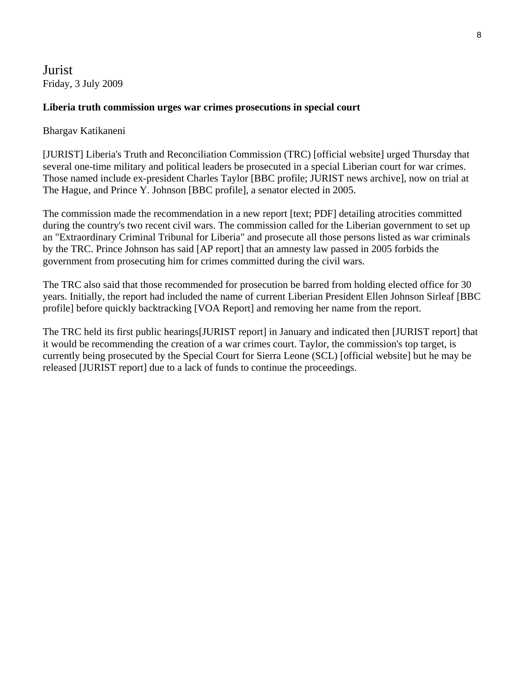Jurist Friday, 3 July 2009

#### **Liberia truth commission urges war crimes prosecutions in special court**

#### Bhargav Katikaneni

[JURIST] Liberia's Truth and Reconciliation Commission (TRC) [official website] urged Thursday that several one-time military and political leaders be prosecuted in a special Liberian court for war crimes. Those named include ex-president Charles Taylor [BBC profile; JURIST news archive], now on trial at The Hague, and Prince Y. Johnson [BBC profile], a senator elected in 2005.

The commission made the recommendation in a new report [text; PDF] detailing atrocities committed during the country's two recent civil wars. The commission called for the Liberian government to set up an "Extraordinary Criminal Tribunal for Liberia" and prosecute all those persons listed as war criminals by the TRC. Prince Johnson has said [AP report] that an amnesty law passed in 2005 forbids the government from prosecuting him for crimes committed during the civil wars.

The TRC also said that those recommended for prosecution be barred from holding elected office for 30 years. Initially, the report had included the name of current Liberian President Ellen Johnson Sirleaf [BBC profile] before quickly backtracking [VOA Report] and removing her name from the report.

The TRC held its first public hearings[JURIST report] in January and indicated then [JURIST report] that it would be recommending the creation of a war crimes court. Taylor, the commission's top target, is currently being prosecuted by the Special Court for Sierra Leone (SCL) [official website] but he may be released [JURIST report] due to a lack of funds to continue the proceedings.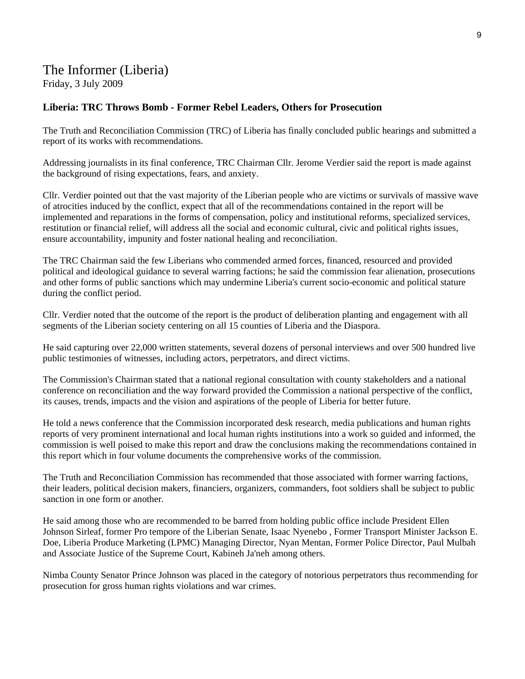# The Informer (Liberia)

Friday, 3 July 2009

#### **Liberia: TRC Throws Bomb - Former Rebel Leaders, Others for Prosecution**

The Truth and Reconciliation Commission (TRC) of Liberia has finally concluded public hearings and submitted a report of its works with recommendations.

Addressing journalists in its final conference, TRC Chairman Cllr. Jerome Verdier said the report is made against the background of rising expectations, fears, and anxiety.

Cllr. Verdier pointed out that the vast majority of the Liberian people who are victims or survivals of massive wave of atrocities induced by the conflict, expect that all of the recommendations contained in the report will be implemented and reparations in the forms of compensation, policy and institutional reforms, specialized services, restitution or financial relief, will address all the social and economic cultural, civic and political rights issues, ensure accountability, impunity and foster national healing and reconciliation.

The TRC Chairman said the few Liberians who commended armed forces, financed, resourced and provided political and ideological guidance to several warring factions; he said the commission fear alienation, prosecutions and other forms of public sanctions which may undermine Liberia's current socio-economic and political stature during the conflict period.

Cllr. Verdier noted that the outcome of the report is the product of deliberation planting and engagement with all segments of the Liberian society centering on all 15 counties of Liberia and the Diaspora.

He said capturing over 22,000 written statements, several dozens of personal interviews and over 500 hundred live public testimonies of witnesses, including actors, perpetrators, and direct victims.

The Commission's Chairman stated that a national regional consultation with county stakeholders and a national conference on reconciliation and the way forward provided the Commission a national perspective of the conflict, its causes, trends, impacts and the vision and aspirations of the people of Liberia for better future.

He told a news conference that the Commission incorporated desk research, media publications and human rights reports of very prominent international and local human rights institutions into a work so guided and informed, the commission is well poised to make this report and draw the conclusions making the recommendations contained in this report which in four volume documents the comprehensive works of the commission.

The Truth and Reconciliation Commission has recommended that those associated with former warring factions, their leaders, political decision makers, financiers, organizers, commanders, foot soldiers shall be subject to public sanction in one form or another.

He said among those who are recommended to be barred from holding public office include President Ellen Johnson Sirleaf, former Pro tempore of the Liberian Senate, Isaac Nyenebo , Former Transport Minister Jackson E. Doe, Liberia Produce Marketing (LPMC) Managing Director, Nyan Mentan, Former Police Director, Paul Mulbah and Associate Justice of the Supreme Court, Kabineh Ja'neh among others.

Nimba County Senator Prince Johnson was placed in the category of notorious perpetrators thus recommending for prosecution for gross human rights violations and war crimes.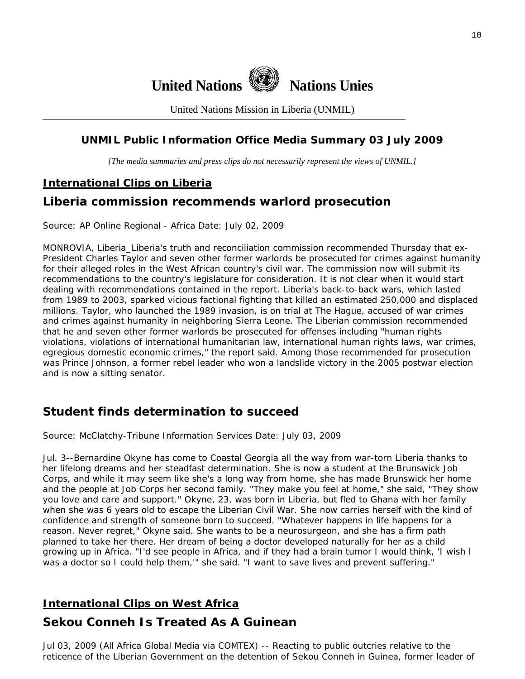

United Nations Mission in Liberia (UNMIL)

# **UNMIL Public Information Office Media Summary 03 July 2009**

*[The media summaries and press clips do not necessarily represent the views of UNMIL.]* 

# **International Clips on Liberia**

# **Liberia commission recommends warlord prosecution**

Source: AP Online Regional - Africa Date: July 02, 2009

MONROVIA, Liberia\_Liberia's truth and reconciliation commission recommended Thursday that ex-President Charles Taylor and seven other former warlords be prosecuted for crimes against humanity for their alleged roles in the West African country's civil war. The commission now will submit its recommendations to the country's legislature for consideration. It is not clear when it would start dealing with recommendations contained in the report. Liberia's back-to-back wars, which lasted from 1989 to 2003, sparked vicious factional fighting that killed an estimated 250,000 and displaced millions. Taylor, who launched the 1989 invasion, is on trial at The Hague, accused of war crimes and crimes against humanity in neighboring Sierra Leone. The Liberian commission recommended that he and seven other former warlords be prosecuted for offenses including "human rights violations, violations of international humanitarian law, international human rights laws, war crimes, egregious domestic economic crimes," the report said. Among those recommended for prosecution was Prince Johnson, a former rebel leader who won a landslide victory in the 2005 postwar election and is now a sitting senator.

# **Student finds determination to succeed**

Source: McClatchy-Tribune Information Services Date: July 03, 2009

Jul. 3--Bernardine Okyne has come to Coastal Georgia all the way from war-torn Liberia thanks to her lifelong dreams and her steadfast determination. She is now a student at the Brunswick Job Corps, and while it may seem like she's a long way from home, she has made Brunswick her home and the people at Job Corps her second family. "They make you feel at home," she said, "They show you love and care and support." Okyne, 23, was born in Liberia, but fled to Ghana with her family when she was 6 years old to escape the Liberian Civil War. She now carries herself with the kind of confidence and strength of someone born to succeed. "Whatever happens in life happens for a reason. Never regret," Okyne said. She wants to be a neurosurgeon, and she has a firm path planned to take her there. Her dream of being a doctor developed naturally for her as a child growing up in Africa. "I'd see people in Africa, and if they had a brain tumor I would think, 'I wish I was a doctor so I could help them," she said. "I want to save lives and prevent suffering."

# **International Clips on West Africa**

# **Sekou Conneh Is Treated As A Guinean**

Jul 03, 2009 (All Africa Global Media via COMTEX) -- Reacting to public outcries relative to the reticence of the Liberian Government on the detention of Sekou Conneh in Guinea, former leader of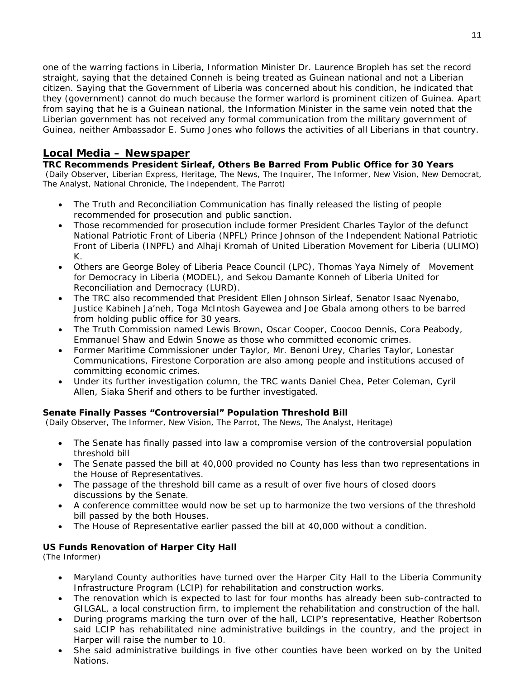one of the warring factions in Liberia, Information Minister Dr. Laurence Bropleh has set the record straight, saying that the detained Conneh is being treated as Guinean national and not a Liberian citizen. Saying that the Government of Liberia was concerned about his condition, he indicated that they (government) cannot do much because the former warlord is prominent citizen of Guinea. Apart from saying that he is a Guinean national, the Information Minister in the same vein noted that the Liberian government has not received any formal communication from the military government of Guinea, neither Ambassador E. Sumo Jones who follows the activities of all Liberians in that country.

# **Local Media – Newspaper**

**TRC Recommends President Sirleaf, Others Be Barred From Public Office for 30 Years**  (Daily Observer, Liberian Express, Heritage, The News, The Inquirer, The Informer, New Vision, New Democrat, The Analyst, National Chronicle, The Independent, The Parrot)

- The Truth and Reconciliation Communication has finally released the listing of people recommended for prosecution and public sanction.
- Those recommended for prosecution include former President Charles Taylor of the defunct National Patriotic Front of Liberia (NPFL) Prince Johnson of the Independent National Patriotic Front of Liberia (INPFL) and Alhaji Kromah of United Liberation Movement for Liberia (ULIMO) K.
- Others are George Boley of Liberia Peace Council (LPC), Thomas Yaya Nimely of Movement for Democracy in Liberia (MODEL), and Sekou Damante Konneh of Liberia United for Reconciliation and Democracy (LURD).
- The TRC also recommended that President Ellen Johnson Sirleaf, Senator Isaac Nyenabo, Justice Kabineh Ja'neh, Toga McIntosh Gayewea and Joe Gbala among others to be barred from holding public office for 30 years.
- The Truth Commission named Lewis Brown, Oscar Cooper, Coocoo Dennis, Cora Peabody, Emmanuel Shaw and Edwin Snowe as those who committed economic crimes.
- Former Maritime Commissioner under Taylor, Mr. Benoni Urey, Charles Taylor, Lonestar Communications, Firestone Corporation are also among people and institutions accused of committing economic crimes.
- Under its further investigation column, the TRC wants Daniel Chea, Peter Coleman, Cyril Allen, Siaka Sherif and others to be further investigated.

#### **Senate Finally Passes "Controversial" Population Threshold Bill**

(Daily Observer, The Informer, New Vision, The Parrot, The News, The Analyst, Heritage)

- The Senate has finally passed into law a compromise version of the controversial population threshold bill
- The Senate passed the bill at 40,000 provided no County has less than two representations in the House of Representatives.
- The passage of the threshold bill came as a result of over five hours of closed doors discussions by the Senate.
- A conference committee would now be set up to harmonize the two versions of the threshold bill passed by the both Houses.
- The House of Representative earlier passed the bill at 40,000 without a condition.

#### **US Funds Renovation of Harper City Hall**

(The Informer)

- Maryland County authorities have turned over the Harper City Hall to the Liberia Community Infrastructure Program (LCIP) for rehabilitation and construction works.
- The renovation which is expected to last for four months has already been sub-contracted to GILGAL, a local construction firm, to implement the rehabilitation and construction of the hall.
- During programs marking the turn over of the hall, LCIP's representative, Heather Robertson said LCIP has rehabilitated nine administrative buildings in the country, and the project in Harper will raise the number to 10.
- She said administrative buildings in five other counties have been worked on by the United Nations.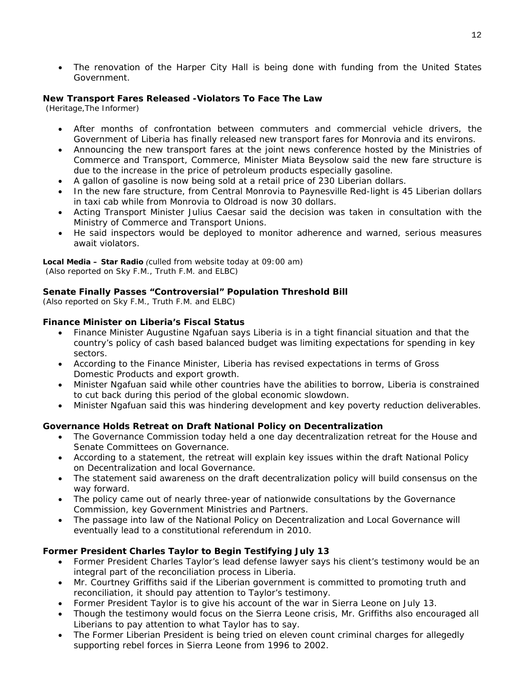• The renovation of the Harper City Hall is being done with funding from the United States Government.

#### **New Transport Fares Released -Violators To Face The Law**

(Heritage,The Informer)

- After months of confrontation between commuters and commercial vehicle drivers, the Government of Liberia has finally released new transport fares for Monrovia and its environs.
- Announcing the new transport fares at the joint news conference hosted by the Ministries of Commerce and Transport, Commerce, Minister Miata Beysolow said the new fare structure is due to the increase in the price of petroleum products especially gasoline.
- A gallon of gasoline is now being sold at a retail price of 230 Liberian dollars.
- In the new fare structure, from Central Monrovia to Paynesville Red-light is 45 Liberian dollars in taxi cab while from Monrovia to Oldroad is now 30 dollars.
- Acting Transport Minister Julius Caesar said the decision was taken in consultation with the Ministry of Commerce and Transport Unions.
- He said inspectors would be deployed to monitor adherence and warned, serious measures await violators.

**Local Media – Star Radio** *(culled from website today at 09:00 am) (Also reported on Sky F.M., Truth F.M. and ELBC)* 

#### **Senate Finally Passes "Controversial" Population Threshold Bill**

*(Also reported on Sky F.M., Truth F.M. and ELBC)* 

#### **Finance Minister on Liberia's Fiscal Status**

- Finance Minister Augustine Ngafuan says Liberia is in a tight financial situation and that the country's policy of cash based balanced budget was limiting expectations for spending in key sectors.
- According to the Finance Minister, Liberia has revised expectations in terms of Gross Domestic Products and export growth.
- Minister Ngafuan said while other countries have the abilities to borrow, Liberia is constrained to cut back during this period of the global economic slowdown.
- Minister Ngafuan said this was hindering development and key poverty reduction deliverables.

#### **Governance Holds Retreat on Draft National Policy on Decentralization**

- The Governance Commission today held a one day decentralization retreat for the House and Senate Committees on Governance.
- According to a statement, the retreat will explain key issues within the draft National Policy on Decentralization and local Governance.
- The statement said awareness on the draft decentralization policy will build consensus on the way forward.
- The policy came out of nearly three-year of nationwide consultations by the Governance Commission, key Government Ministries and Partners.
- The passage into law of the National Policy on Decentralization and Local Governance will eventually lead to a constitutional referendum in 2010.

#### **Former President Charles Taylor to Begin Testifying July 13**

- Former President Charles Taylor's lead defense lawyer says his client's testimony would be an integral part of the reconciliation process in Liberia.
- Mr. Courtney Griffiths said if the Liberian government is committed to promoting truth and reconciliation, it should pay attention to Taylor's testimony.
- Former President Taylor is to give his account of the war in Sierra Leone on July 13.
- Though the testimony would focus on the Sierra Leone crisis, Mr. Griffiths also encouraged all Liberians to pay attention to what Taylor has to say.
- The Former Liberian President is being tried on eleven count criminal charges for allegedly supporting rebel forces in Sierra Leone from 1996 to 2002.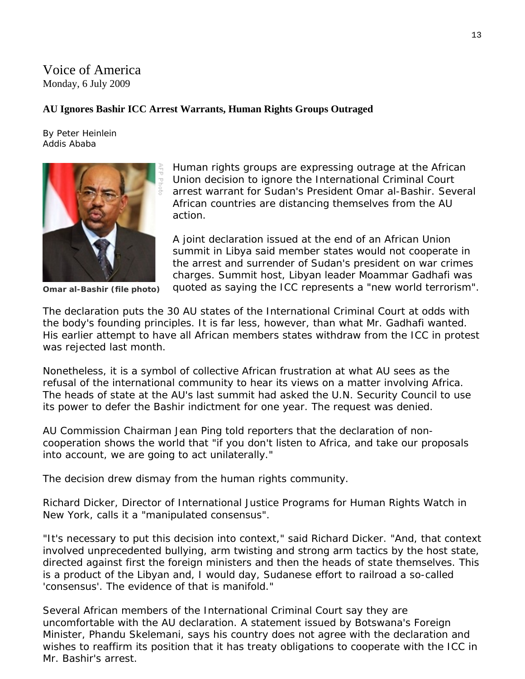# Voice of America Monday, 6 July 2009

### **AU Ignores Bashir ICC Arrest Warrants, Human Rights Groups Outraged**

By Peter Heinlein Addis Ababa



**Omar al-Bashir (file photo)** 

Human rights groups are expressing outrage at the African Union decision to ignore the International Criminal Court arrest warrant for Sudan's President Omar al-Bashir. Several African countries are distancing themselves from the AU action.

A joint declaration issued at the end of an African Union summit in Libya said member states would not cooperate in the arrest and surrender of Sudan's president on war crimes charges. Summit host, Libyan leader Moammar Gadhafi was quoted as saying the ICC represents a "new world terrorism".

The declaration puts the 30 AU states of the International Criminal Court at odds with the body's founding principles. It is far less, however, than what Mr. Gadhafi wanted. His earlier attempt to have all African members states withdraw from the ICC in protest was rejected last month.

Nonetheless, it is a symbol of collective African frustration at what AU sees as the refusal of the international community to hear its views on a matter involving Africa. The heads of state at the AU's last summit had asked the U.N. Security Council to use its power to defer the Bashir indictment for one year. The request was denied.

AU Commission Chairman Jean Ping told reporters that the declaration of noncooperation shows the world that "if you don't listen to Africa, and take our proposals into account, we are going to act unilaterally."

The decision drew dismay from the human rights community.

Richard Dicker, Director of International Justice Programs for Human Rights Watch in New York, calls it a "manipulated consensus".

"It's necessary to put this decision into context," said Richard Dicker. "And, that context involved unprecedented bullying, arm twisting and strong arm tactics by the host state, directed against first the foreign ministers and then the heads of state themselves. This is a product of the Libyan and, I would day, Sudanese effort to railroad a so-called 'consensus'. The evidence of that is manifold."

Several African members of the International Criminal Court say they are uncomfortable with the AU declaration. A statement issued by Botswana's Foreign Minister, Phandu Skelemani, says his country does not agree with the declaration and wishes to reaffirm its position that it has treaty obligations to cooperate with the ICC in Mr. Bashir's arrest.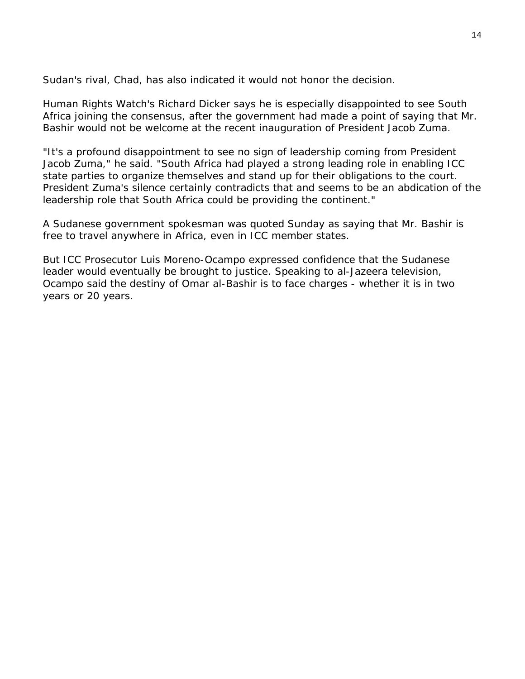Sudan's rival, Chad, has also indicated it would not honor the decision.

Human Rights Watch's Richard Dicker says he is especially disappointed to see South Africa joining the consensus, after the government had made a point of saying that Mr. Bashir would not be welcome at the recent inauguration of President Jacob Zuma.

"It's a profound disappointment to see no sign of leadership coming from President Jacob Zuma," he said. "South Africa had played a strong leading role in enabling ICC state parties to organize themselves and stand up for their obligations to the court. President Zuma's silence certainly contradicts that and seems to be an abdication of the leadership role that South Africa could be providing the continent."

A Sudanese government spokesman was quoted Sunday as saying that Mr. Bashir is free to travel anywhere in Africa, even in ICC member states.

But ICC Prosecutor Luis Moreno-Ocampo expressed confidence that the Sudanese leader would eventually be brought to justice. Speaking to al-Jazeera television, Ocampo said the destiny of Omar al-Bashir is to face charges - whether it is in two years or 20 years.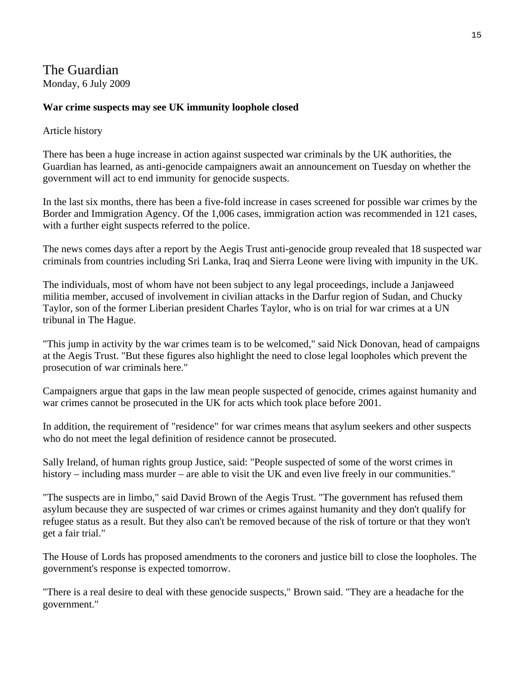# The Guardian

Monday, 6 July 2009

### **War crime suspects may see UK immunity loophole closed**

#### Article history

There has been a huge increase in action against suspected war criminals by the UK authorities, the Guardian has learned, as anti-genocide campaigners await an announcement on Tuesday on whether the government will act to end immunity for genocide suspects.

In the last six months, there has been a five-fold increase in cases screened for possible war crimes by the Border and Immigration Agency. Of the 1,006 cases, immigration action was recommended in 121 cases, with a further eight suspects referred to the police.

The news comes days after a report by the Aegis Trust anti-genocide group revealed that 18 suspected war criminals from countries including Sri Lanka, Iraq and Sierra Leone were living with impunity in the UK.

The individuals, most of whom have not been subject to any legal proceedings, include a Janjaweed militia member, accused of involvement in civilian attacks in the Darfur region of Sudan, and Chucky Taylor, son of the former Liberian president Charles Taylor, who is on trial for war crimes at a UN tribunal in The Hague.

"This jump in activity by the war crimes team is to be welcomed," said Nick Donovan, head of campaigns at the Aegis Trust. "But these figures also highlight the need to close legal loopholes which prevent the prosecution of war criminals here."

Campaigners argue that gaps in the law mean people suspected of genocide, crimes against humanity and war crimes cannot be prosecuted in the UK for acts which took place before 2001.

In addition, the requirement of "residence" for war crimes means that asylum seekers and other suspects who do not meet the legal definition of residence cannot be prosecuted.

Sally Ireland, of human rights group Justice, said: "People suspected of some of the worst crimes in history – including mass murder – are able to visit the UK and even live freely in our communities."

"The suspects are in limbo," said David Brown of the Aegis Trust. "The government has refused them asylum because they are suspected of war crimes or crimes against humanity and they don't qualify for refugee status as a result. But they also can't be removed because of the risk of torture or that they won't get a fair trial."

The House of Lords has proposed amendments to the coroners and justice bill to close the loopholes. The government's response is expected tomorrow.

"There is a real desire to deal with these genocide suspects," Brown said. "They are a headache for the government."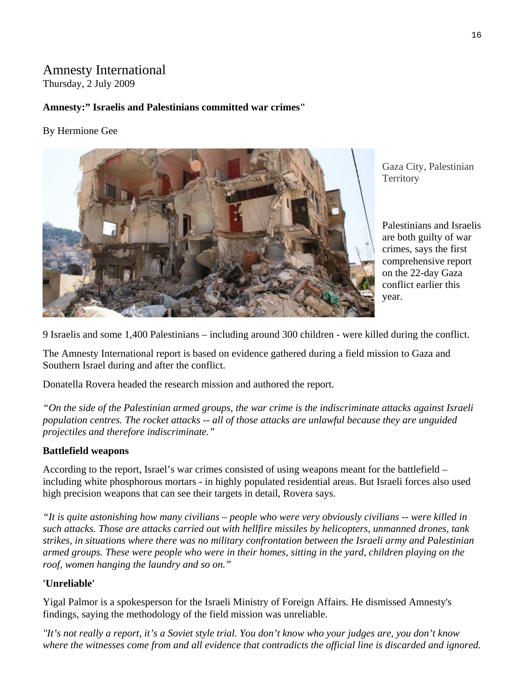# Amnesty International

Thursday, 2 July 2009

# **Amnesty:" Israelis and Palestinians committed war crimes"**

### By Hermione Gee



Gaza City, Palestinian **Territory** 

Palestinians and I sraelis are both guilty of war crimes, says the first comprehensive repor t on the 22-day Gaza conflict earlier this year.

9 Israelis and some 1,400 Palestinians – including around 300 children - were killed during the conflict.

The Amnesty International report is based on evidence gathered during a field mission to Gaza and Southern Israel during and after the conflict.

Donatella Rovera headed the research mission and authored the report.

*"On the side of the Palestinian armed groups, the war crime is the indiscriminate attacks against Israeli population centres. The rocket attacks -- all of those attacks are unlawful because they are unguided projectiles and therefore indiscriminate."*

# **Battlefield weapons**

According to the report, Israel's war crimes consisted of using weapons meant for the battlefield – including white phosphorous mortars - in highly populated residential areas. But Israeli forces also used high precision weapons that can see their targets in detail, Rovera says.

*"It is quite astonishing how many civilians – people who were very obviously civilians -- were killed in such attacks. Those are attacks carried out with hellfire missiles by helicopters, unmanned drones, tank strikes, in situations where there was no military confrontation between the Israeli army and Palestinian armed groups. These were people who were in their homes, sitting in the yard, children playing on the roof, women hanging the laundry and so on."*

# **'Unreliable'**

Yigal Palmor is a spokesperson for the Israeli Ministry of Foreign Affairs. He dismissed Amnesty's findings, saying the methodology of the field mission was unreliable.

*"It's not really a report, it's a Soviet style trial. You don't know who your judges are, you don't know where the witnesses come from and all evidence that contradicts the official line is discarded and ignored.*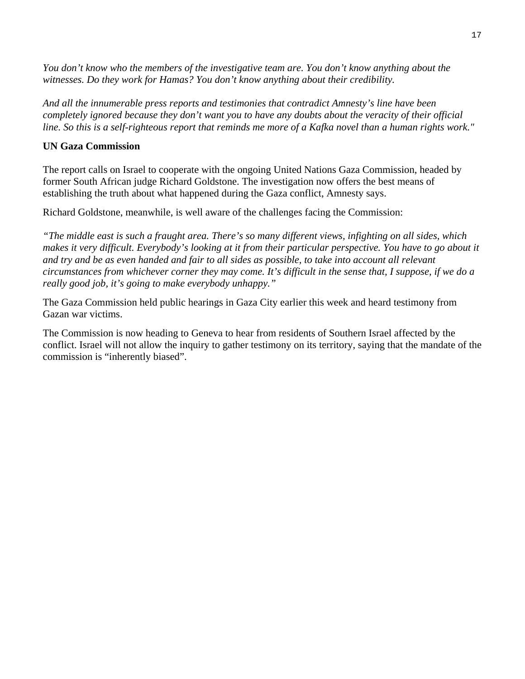*You don't know who the members of the investigative team are. You don't know anything about the witnesses. Do they work for Hamas? You don't know anything about their credibility.* 

*And all the innumerable press reports and testimonies that contradict Amnesty's line have been completely ignored because they don't want you to have any doubts about the veracity of their official line. So this is a self-righteous report that reminds me more of a Kafka novel than a human rights work."*

#### **UN Gaza Commission**

The report calls on Israel to cooperate with the ongoing United Nations Gaza Commission, headed by former South African judge Richard Goldstone. The investigation now offers the best means of establishing the truth about what happened during the Gaza conflict, Amnesty says.

Richard Goldstone, meanwhile, is well aware of the challenges facing the Commission:

*"The middle east is such a fraught area. There's so many different views, infighting on all sides, which makes it very difficult. Everybody's looking at it from their particular perspective. You have to go about it and try and be as even handed and fair to all sides as possible, to take into account all relevant circumstances from whichever corner they may come. It's difficult in the sense that, I suppose, if we do a really good job, it's going to make everybody unhappy."* 

The Gaza Commission held public hearings in Gaza City earlier this week and heard testimony from Gazan war victims.

The Commission is now heading to Geneva to hear from residents of Southern Israel affected by the conflict. Israel will not allow the inquiry to gather testimony on its territory, saying that the mandate of the commission is "inherently biased".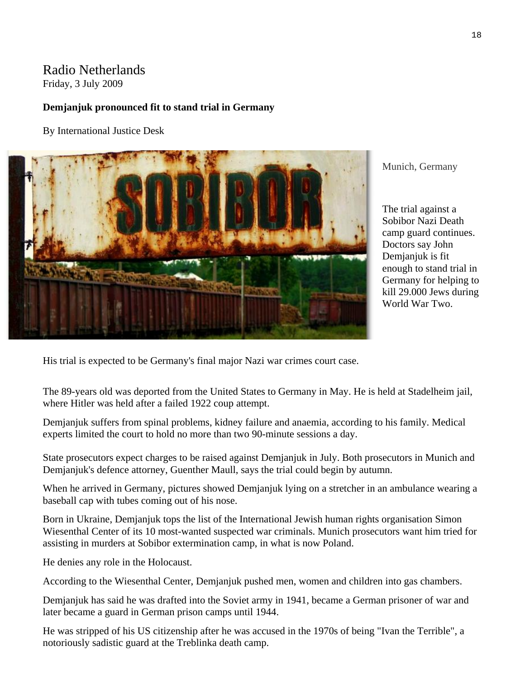# Radio Netherlands

Friday, 3 July 2009

### **Demjanjuk pronounced fit to stand trial in Germany**

By International Justice Desk



Munich, Germany

The trial against a Sobibor Nazi Death camp guard continues. Doctors say John Demjanjuk is fit enough to stand trial in Germany for helping to kill 29.000 Jews during World War Two.

His trial is expected to be Germany's final major Nazi war crimes court case.

The 89-years old was deported from the United States to Germany in May. He is held at Stadelheim jail, where Hitler was held after a failed 1922 coup attempt.

Demjanjuk suffers from spinal problems, kidney failure and anaemia, according to his family. Medical experts limited the court to hold no more than two 90-minute sessions a day.

State prosecutors expect charges to be raised against Demjanjuk in July. Both prosecutors in Munich and Demjanjuk's defence attorney, Guenther Maull, says the trial could begin by autumn.

When he arrived in Germany, pictures showed Demjanjuk lying on a stretcher in an ambulance wearing a baseball cap with tubes coming out of his nose.

Born in Ukraine, Demjanjuk tops the list of the International Jewish human rights organisation Simon Wiesenthal Center of its 10 most-wanted suspected war criminals. Munich prosecutors want him tried for assisting in murders at Sobibor extermination camp, in what is now Poland.

He denies any role in the Holocaust.

According to the Wiesenthal Center, Demjanjuk pushed men, women and children into gas chambers.

Demjanjuk has said he was drafted into the Soviet army in 1941, became a German prisoner of war and later became a guard in German prison camps until 1944.

He was stripped of his US citizenship after he was accused in the 1970s of being "Ivan the Terrible", a notoriously sadistic guard at the Treblinka death camp.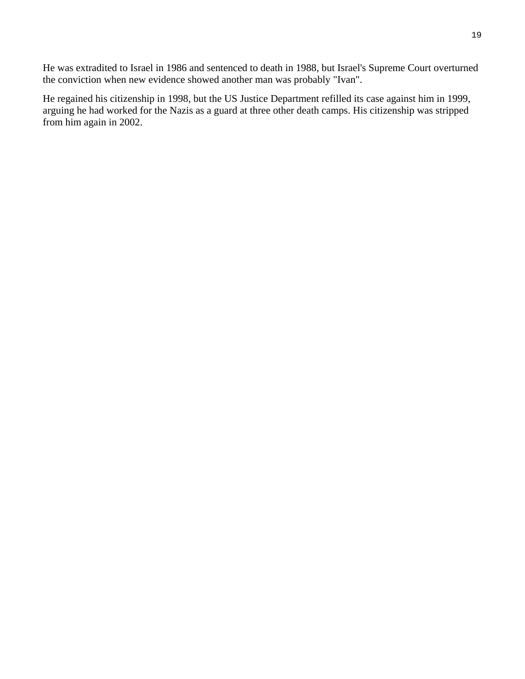He was extradited to Israel in 1986 and sentenced to death in 1988, but Israel's Supreme Court overturned the conviction when new evidence showed another man was probably "Ivan".

He regained his citizenship in 1998, but the US Justice Department refilled its case against him in 1999, arguing he had worked for the Nazis as a guard at three other death camps. His citizenship was stripped from him again in 2002.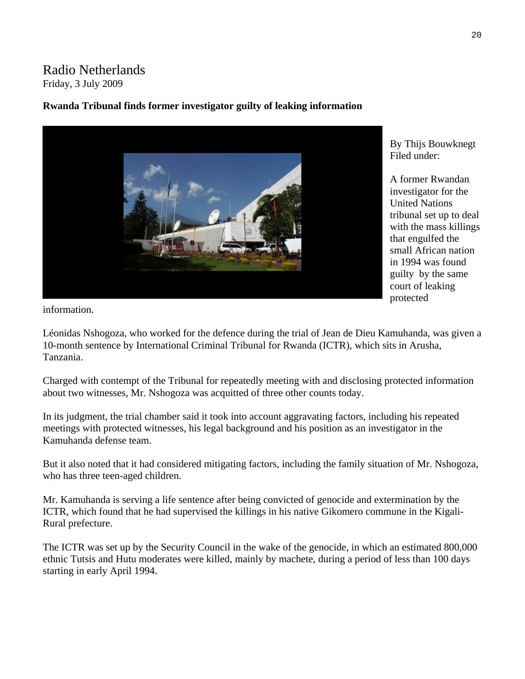# Radio Netherlands Friday, 3 July 2009

### **Rwanda Tribunal finds former investigator guilty of leaking information**



By Thijs Bouwknegt Filed under:

A former Rwandan investigator for the United Nations tribunal set up to deal with the mass killings that engulfed the small African nation in 1994 was found guilty by the same court of leaking protected

information.

Léonidas Nshogoza, who worked for the defence during the trial of Jean de Dieu Kamuhanda, was given a 10-month sentence by International Criminal Tribunal for Rwanda (ICTR), which sits in Arusha, Tanzania.

Charged with contempt of the Tribunal for repeatedly meeting with and disclosing protected information about two witnesses, Mr. Nshogoza was acquitted of three other counts today.

In its judgment, the trial chamber said it took into account aggravating factors, including his repeated meetings with protected witnesses, his legal background and his position as an investigator in the Kamuhanda defense team.

But it also noted that it had considered mitigating factors, including the family situation of Mr. Nshogoza, who has three teen-aged children.

Mr. Kamuhanda is serving a life sentence after being convicted of genocide and extermination by the ICTR, which found that he had supervised the killings in his native Gikomero commune in the Kigali-Rural prefecture.

The ICTR was set up by the Security Council in the wake of the genocide, in which an estimated 800,000 ethnic Tutsis and Hutu moderates were killed, mainly by machete, during a period of less than 100 days starting in early April 1994.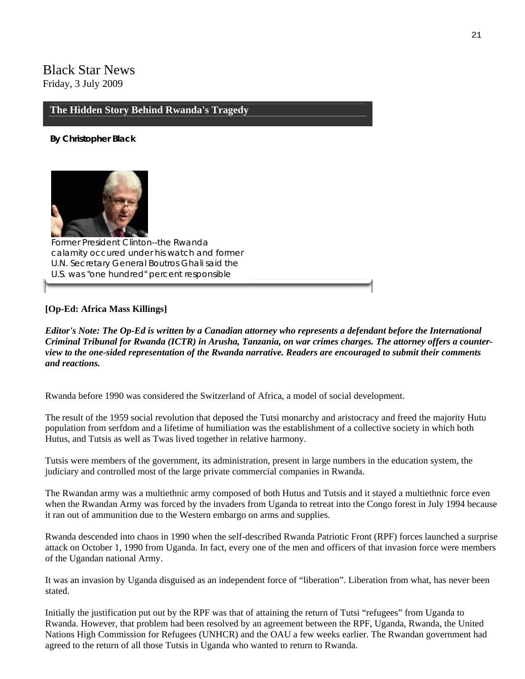# Black Star News Friday, 3 July 2009

#### **The Hidden Story Behind Rwanda's Tragedy**

**By Christopher Black** 



*Former President Clinton--the Rwanda calamity occured under his watch and former U.N. Secretary General Boutros Ghali said the U.S. was "one hundred" percent responsible* 

#### **[Op-Ed: Africa Mass Killings]**

*Editor's Note: The Op-Ed is written by a Canadian attorney who represents a defendant before the International Criminal Tribunal for Rwanda (ICTR) in Arusha, Tanzania, on war crimes charges. The attorney offers a counterview to the one-sided representation of the Rwanda narrative. Readers are encouraged to submit their comments and reactions.*

Rwanda before 1990 was considered the Switzerland of Africa, a model of social development.

The result of the 1959 social revolution that deposed the Tutsi monarchy and aristocracy and freed the majority Hutu population from serfdom and a lifetime of humiliation was the establishment of a collective society in which both Hutus, and Tutsis as well as Twas lived together in relative harmony.

Tutsis were members of the government, its administration, present in large numbers in the education system, the judiciary and controlled most of the large private commercial companies in Rwanda.

The Rwandan army was a multiethnic army composed of both Hutus and Tutsis and it stayed a multiethnic force even when the Rwandan Army was forced by the invaders from Uganda to retreat into the Congo forest in July 1994 because it ran out of ammunition due to the Western embargo on arms and supplies.

Rwanda descended into chaos in 1990 when the self-described Rwanda Patriotic Front (RPF) forces launched a surprise attack on October 1, 1990 from Uganda. In fact, every one of the men and officers of that invasion force were members of the Ugandan national Army.

It was an invasion by Uganda disguised as an independent force of "liberation". Liberation from what, has never been stated.

Initially the justification put out by the RPF was that of attaining the return of Tutsi "refugees" from Uganda to Rwanda. However, that problem had been resolved by an agreement between the RPF, Uganda, Rwanda, the United Nations High Commission for Refugees (UNHCR) and the OAU a few weeks earlier. The Rwandan government had agreed to the return of all those Tutsis in Uganda who wanted to return to Rwanda.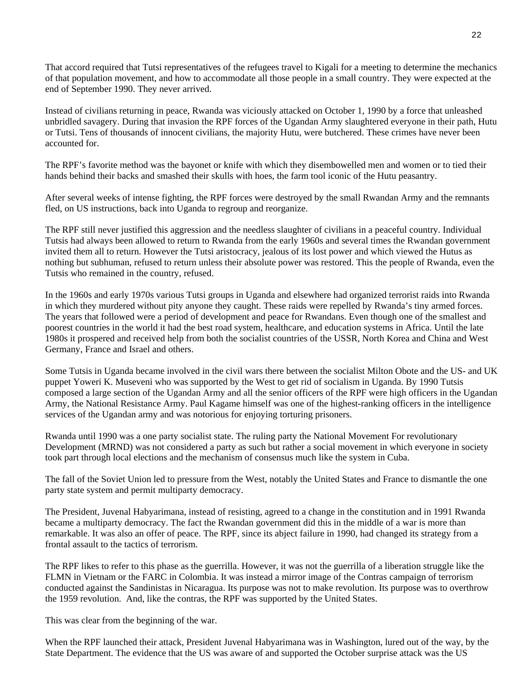That accord required that Tutsi representatives of the refugees travel to Kigali for a meeting to determine the mechanics of that population movement, and how to accommodate all those people in a small country. They were expected at the end of September 1990. They never arrived.

Instead of civilians returning in peace, Rwanda was viciously attacked on October 1, 1990 by a force that unleashed unbridled savagery. During that invasion the RPF forces of the Ugandan Army slaughtered everyone in their path, Hutu or Tutsi. Tens of thousands of innocent civilians, the majority Hutu, were butchered. These crimes have never been accounted for.

The RPF's favorite method was the bayonet or knife with which they disembowelled men and women or to tied their hands behind their backs and smashed their skulls with hoes, the farm tool iconic of the Hutu peasantry.

After several weeks of intense fighting, the RPF forces were destroyed by the small Rwandan Army and the remnants fled, on US instructions, back into Uganda to regroup and reorganize.

The RPF still never justified this aggression and the needless slaughter of civilians in a peaceful country. Individual Tutsis had always been allowed to return to Rwanda from the early 1960s and several times the Rwandan government invited them all to return. However the Tutsi aristocracy, jealous of its lost power and which viewed the Hutus as nothing but subhuman, refused to return unless their absolute power was restored. This the people of Rwanda, even the Tutsis who remained in the country, refused.

In the 1960s and early 1970s various Tutsi groups in Uganda and elsewhere had organized terrorist raids into Rwanda in which they murdered without pity anyone they caught. These raids were repelled by Rwanda's tiny armed forces. The years that followed were a period of development and peace for Rwandans. Even though one of the smallest and poorest countries in the world it had the best road system, healthcare, and education systems in Africa. Until the late 1980s it prospered and received help from both the socialist countries of the USSR, North Korea and China and West Germany, France and Israel and others.

Some Tutsis in Uganda became involved in the civil wars there between the socialist Milton Obote and the US- and UK puppet Yoweri K. Museveni who was supported by the West to get rid of socialism in Uganda. By 1990 Tutsis composed a large section of the Ugandan Army and all the senior officers of the RPF were high officers in the Ugandan Army, the National Resistance Army. Paul Kagame himself was one of the highest-ranking officers in the intelligence services of the Ugandan army and was notorious for enjoying torturing prisoners.

Rwanda until 1990 was a one party socialist state. The ruling party the National Movement For revolutionary Development (MRND) was not considered a party as such but rather a social movement in which everyone in society took part through local elections and the mechanism of consensus much like the system in Cuba.

The fall of the Soviet Union led to pressure from the West, notably the United States and France to dismantle the one party state system and permit multiparty democracy.

The President, Juvenal Habyarimana, instead of resisting, agreed to a change in the constitution and in 1991 Rwanda became a multiparty democracy. The fact the Rwandan government did this in the middle of a war is more than remarkable. It was also an offer of peace. The RPF, since its abject failure in 1990, had changed its strategy from a frontal assault to the tactics of terrorism.

The RPF likes to refer to this phase as the guerrilla. However, it was not the guerrilla of a liberation struggle like the FLMN in Vietnam or the FARC in Colombia. It was instead a mirror image of the Contras campaign of terrorism conducted against the Sandinistas in Nicaragua. Its purpose was not to make revolution. Its purpose was to overthrow the 1959 revolution. And, like the contras, the RPF was supported by the United States.

This was clear from the beginning of the war.

When the RPF launched their attack, President Juvenal Habyarimana was in Washington, lured out of the way, by the State Department. The evidence that the US was aware of and supported the October surprise attack was the US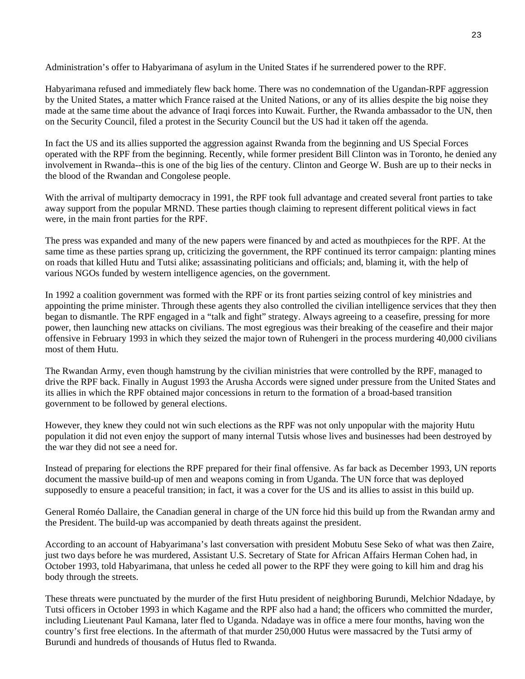Administration's offer to Habyarimana of asylum in the United States if he surrendered power to the RPF.

Habyarimana refused and immediately flew back home. There was no condemnation of the Ugandan-RPF aggression by the United States, a matter which France raised at the United Nations, or any of its allies despite the big noise they made at the same time about the advance of Iraqi forces into Kuwait. Further, the Rwanda ambassador to the UN, then on the Security Council, filed a protest in the Security Council but the US had it taken off the agenda.

In fact the US and its allies supported the aggression against Rwanda from the beginning and US Special Forces operated with the RPF from the beginning. Recently, while former president Bill Clinton was in Toronto, he denied any involvement in Rwanda--this is one of the big lies of the century. Clinton and George W. Bush are up to their necks in the blood of the Rwandan and Congolese people.

With the arrival of multiparty democracy in 1991, the RPF took full advantage and created several front parties to take away support from the popular MRND. These parties though claiming to represent different political views in fact were, in the main front parties for the RPF.

The press was expanded and many of the new papers were financed by and acted as mouthpieces for the RPF. At the same time as these parties sprang up, criticizing the government, the RPF continued its terror campaign: planting mines on roads that killed Hutu and Tutsi alike; assassinating politicians and officials; and, blaming it, with the help of various NGOs funded by western intelligence agencies, on the government.

In 1992 a coalition government was formed with the RPF or its front parties seizing control of key ministries and appointing the prime minister. Through these agents they also controlled the civilian intelligence services that they then began to dismantle. The RPF engaged in a "talk and fight" strategy. Always agreeing to a ceasefire, pressing for more power, then launching new attacks on civilians. The most egregious was their breaking of the ceasefire and their major offensive in February 1993 in which they seized the major town of Ruhengeri in the process murdering 40,000 civilians most of them Hutu.

The Rwandan Army, even though hamstrung by the civilian ministries that were controlled by the RPF, managed to drive the RPF back. Finally in August 1993 the Arusha Accords were signed under pressure from the United States and its allies in which the RPF obtained major concessions in return to the formation of a broad-based transition government to be followed by general elections.

However, they knew they could not win such elections as the RPF was not only unpopular with the majority Hutu population it did not even enjoy the support of many internal Tutsis whose lives and businesses had been destroyed by the war they did not see a need for.

Instead of preparing for elections the RPF prepared for their final offensive. As far back as December 1993, UN reports document the massive build-up of men and weapons coming in from Uganda. The UN force that was deployed supposedly to ensure a peaceful transition; in fact, it was a cover for the US and its allies to assist in this build up.

General Roméo Dallaire, the Canadian general in charge of the UN force hid this build up from the Rwandan army and the President. The build-up was accompanied by death threats against the president.

According to an account of Habyarimana's last conversation with president Mobutu Sese Seko of what was then Zaire, just two days before he was murdered, Assistant U.S. Secretary of State for African Affairs Herman Cohen had, in October 1993, told Habyarimana, that unless he ceded all power to the RPF they were going to kill him and drag his body through the streets.

These threats were punctuated by the murder of the first Hutu president of neighboring Burundi, Melchior Ndadaye, by Tutsi officers in October 1993 in which Kagame and the RPF also had a hand; the officers who committed the murder, including Lieutenant Paul Kamana, later fled to Uganda. Ndadaye was in office a mere four months, having won the country's first free elections. In the aftermath of that murder 250,000 Hutus were massacred by the Tutsi army of Burundi and hundreds of thousands of Hutus fled to Rwanda.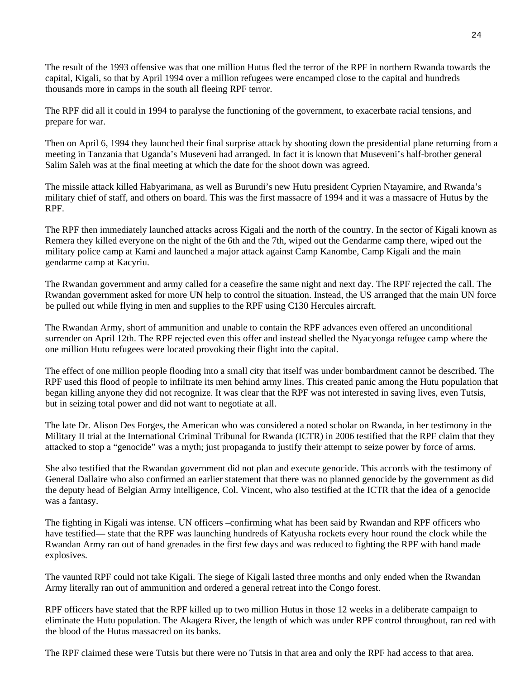The result of the 1993 offensive was that one million Hutus fled the terror of the RPF in northern Rwanda towards the capital, Kigali, so that by April 1994 over a million refugees were encamped close to the capital and hundreds thousands more in camps in the south all fleeing RPF terror.

The RPF did all it could in 1994 to paralyse the functioning of the government, to exacerbate racial tensions, and prepare for war.

Then on April 6, 1994 they launched their final surprise attack by shooting down the presidential plane returning from a meeting in Tanzania that Uganda's Museveni had arranged. In fact it is known that Museveni's half-brother general Salim Saleh was at the final meeting at which the date for the shoot down was agreed.

The missile attack killed Habyarimana, as well as Burundi's new Hutu president Cyprien Ntayamire, and Rwanda's military chief of staff, and others on board. This was the first massacre of 1994 and it was a massacre of Hutus by the RPF.

The RPF then immediately launched attacks across Kigali and the north of the country. In the sector of Kigali known as Remera they killed everyone on the night of the 6th and the 7th, wiped out the Gendarme camp there, wiped out the military police camp at Kami and launched a major attack against Camp Kanombe, Camp Kigali and the main gendarme camp at Kacyriu.

The Rwandan government and army called for a ceasefire the same night and next day. The RPF rejected the call. The Rwandan government asked for more UN help to control the situation. Instead, the US arranged that the main UN force be pulled out while flying in men and supplies to the RPF using C130 Hercules aircraft.

The Rwandan Army, short of ammunition and unable to contain the RPF advances even offered an unconditional surrender on April 12th. The RPF rejected even this offer and instead shelled the Nyacyonga refugee camp where the one million Hutu refugees were located provoking their flight into the capital.

The effect of one million people flooding into a small city that itself was under bombardment cannot be described. The RPF used this flood of people to infiltrate its men behind army lines. This created panic among the Hutu population that began killing anyone they did not recognize. It was clear that the RPF was not interested in saving lives, even Tutsis, but in seizing total power and did not want to negotiate at all.

The late Dr. Alison Des Forges, the American who was considered a noted scholar on Rwanda, in her testimony in the Military II trial at the International Criminal Tribunal for Rwanda (ICTR) in 2006 testified that the RPF claim that they attacked to stop a "genocide" was a myth; just propaganda to justify their attempt to seize power by force of arms.

She also testified that the Rwandan government did not plan and execute genocide. This accords with the testimony of General Dallaire who also confirmed an earlier statement that there was no planned genocide by the government as did the deputy head of Belgian Army intelligence, Col. Vincent, who also testified at the ICTR that the idea of a genocide was a fantasy.

The fighting in Kigali was intense. UN officers –confirming what has been said by Rwandan and RPF officers who have testified— state that the RPF was launching hundreds of Katyusha rockets every hour round the clock while the Rwandan Army ran out of hand grenades in the first few days and was reduced to fighting the RPF with hand made explosives.

The vaunted RPF could not take Kigali. The siege of Kigali lasted three months and only ended when the Rwandan Army literally ran out of ammunition and ordered a general retreat into the Congo forest.

RPF officers have stated that the RPF killed up to two million Hutus in those 12 weeks in a deliberate campaign to eliminate the Hutu population. The Akagera River, the length of which was under RPF control throughout, ran red with the blood of the Hutus massacred on its banks.

The RPF claimed these were Tutsis but there were no Tutsis in that area and only the RPF had access to that area.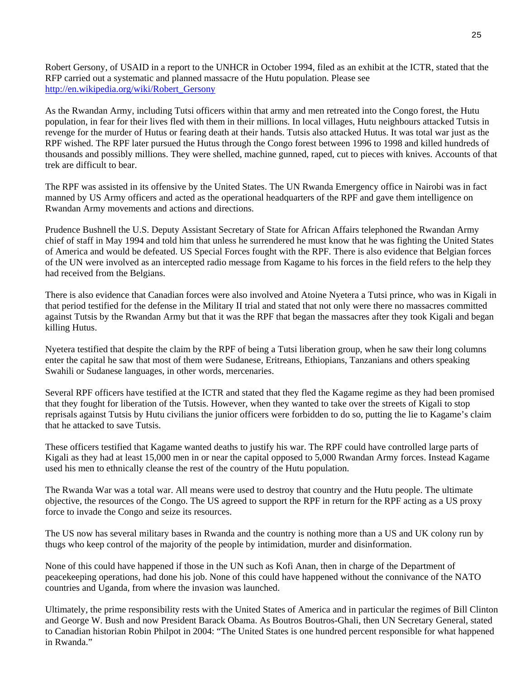Robert Gersony, of USAID in a report to the UNHCR in October 1994, filed as an exhibit at the ICTR, stated that the RFP carried out a systematic and planned massacre of the Hutu population. Please see [http://en.wikipedia.org/wiki/Robert\\_Gersony](http://en.wikipedia.org/wiki/Robert_Gersony)

As the Rwandan Army, including Tutsi officers within that army and men retreated into the Congo forest, the Hutu population, in fear for their lives fled with them in their millions. In local villages, Hutu neighbours attacked Tutsis in revenge for the murder of Hutus or fearing death at their hands. Tutsis also attacked Hutus. It was total war just as the RPF wished. The RPF later pursued the Hutus through the Congo forest between 1996 to 1998 and killed hundreds of thousands and possibly millions. They were shelled, machine gunned, raped, cut to pieces with knives. Accounts of that trek are difficult to bear.

The RPF was assisted in its offensive by the United States. The UN Rwanda Emergency office in Nairobi was in fact manned by US Army officers and acted as the operational headquarters of the RPF and gave them intelligence on Rwandan Army movements and actions and directions.

Prudence Bushnell the U.S. Deputy Assistant Secretary of State for African Affairs telephoned the Rwandan Army chief of staff in May 1994 and told him that unless he surrendered he must know that he was fighting the United States of America and would be defeated. US Special Forces fought with the RPF. There is also evidence that Belgian forces of the UN were involved as an intercepted radio message from Kagame to his forces in the field refers to the help they had received from the Belgians.

There is also evidence that Canadian forces were also involved and Atoine Nyetera a Tutsi prince, who was in Kigali in that period testified for the defense in the Military II trial and stated that not only were there no massacres committed against Tutsis by the Rwandan Army but that it was the RPF that began the massacres after they took Kigali and began killing Hutus.

Nyetera testified that despite the claim by the RPF of being a Tutsi liberation group, when he saw their long columns enter the capital he saw that most of them were Sudanese, Eritreans, Ethiopians, Tanzanians and others speaking Swahili or Sudanese languages, in other words, mercenaries.

Several RPF officers have testified at the ICTR and stated that they fled the Kagame regime as they had been promised that they fought for liberation of the Tutsis. However, when they wanted to take over the streets of Kigali to stop reprisals against Tutsis by Hutu civilians the junior officers were forbidden to do so, putting the lie to Kagame's claim that he attacked to save Tutsis.

These officers testified that Kagame wanted deaths to justify his war. The RPF could have controlled large parts of Kigali as they had at least 15,000 men in or near the capital opposed to 5,000 Rwandan Army forces. Instead Kagame used his men to ethnically cleanse the rest of the country of the Hutu population.

The Rwanda War was a total war. All means were used to destroy that country and the Hutu people. The ultimate objective, the resources of the Congo. The US agreed to support the RPF in return for the RPF acting as a US proxy force to invade the Congo and seize its resources.

The US now has several military bases in Rwanda and the country is nothing more than a US and UK colony run by thugs who keep control of the majority of the people by intimidation, murder and disinformation.

None of this could have happened if those in the UN such as Kofi Anan, then in charge of the Department of peacekeeping operations, had done his job. None of this could have happened without the connivance of the NATO countries and Uganda, from where the invasion was launched.

Ultimately, the prime responsibility rests with the United States of America and in particular the regimes of Bill Clinton and George W. Bush and now President Barack Obama. As Boutros Boutros-Ghali, then UN Secretary General, stated to Canadian historian Robin Philpot in 2004: "The United States is one hundred percent responsible for what happened in Rwanda<sup>"</sup>